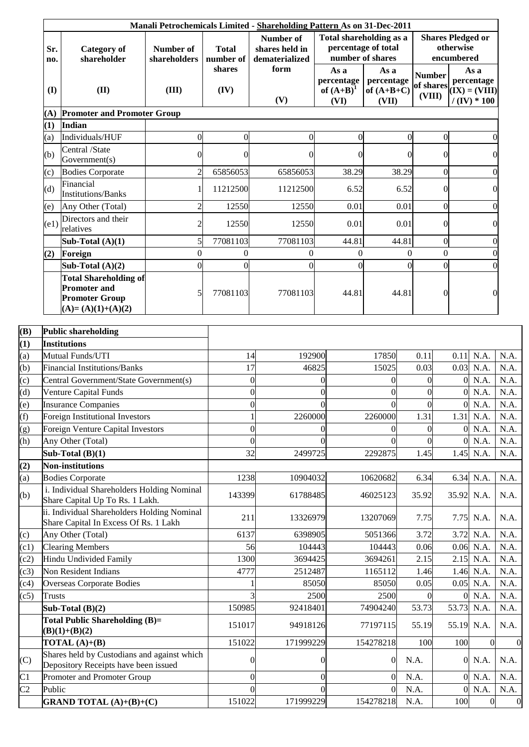|               |                                                                                      |                                    |                                             | Manali Petrochemicals Limited - Shareholding Pattern As on 31-Dec-2011<br>Number of | Total shareholding as a                    |                                             |                                      | <b>Shares Pledged or</b> |                                                        |              |
|---------------|--------------------------------------------------------------------------------------|------------------------------------|---------------------------------------------|-------------------------------------------------------------------------------------|--------------------------------------------|---------------------------------------------|--------------------------------------|--------------------------|--------------------------------------------------------|--------------|
| Sr.<br>no.    | <b>Category</b> of<br>shareholder<br>(II)                                            | Number of<br>shareholders<br>(III) | <b>Total</b><br>number of<br>shares<br>(IV) | shares held in<br>dematerialized                                                    | percentage of total<br>number of shares    |                                             | otherwise<br>encumbered              |                          |                                                        |              |
| (I)           |                                                                                      |                                    |                                             | form<br>(V)                                                                         | As a<br>percentage<br>of $(A+B)^1$<br>(VI) | As a<br>percentage<br>of $(A+B+C)$<br>(VII) | <b>Number</b><br>of shares<br>(VIII) |                          | As a<br>percentage<br>$(IX) = (VIII)$<br>$/(IV) * 100$ |              |
| (A)           | <b>Promoter and Promoter Group</b>                                                   |                                    |                                             |                                                                                     |                                            |                                             |                                      |                          |                                                        |              |
| (1)           | Indian                                                                               |                                    |                                             |                                                                                     |                                            |                                             |                                      |                          |                                                        |              |
| (a)           | Individuals/HUF                                                                      | $\boldsymbol{0}$                   | $\Omega$                                    | $\overline{0}$                                                                      | 0                                          |                                             | $\overline{0}$                       | $\overline{0}$           |                                                        |              |
|               | Central /State                                                                       |                                    |                                             |                                                                                     |                                            |                                             |                                      |                          |                                                        |              |
| (b)           | Government(s)                                                                        | 0                                  | $\theta$                                    | $\overline{0}$                                                                      |                                            |                                             | $\Omega$                             | $\overline{0}$           |                                                        |              |
| (c)           | <b>Bodies Corporate</b>                                                              | $\overline{2}$                     | 65856053                                    | 65856053                                                                            | 38.29                                      | 38.29                                       |                                      | $\Omega$                 |                                                        |              |
| (d)           | Financial<br><b>Institutions/Banks</b>                                               | 1                                  | 11212500                                    | 11212500                                                                            | 6.52                                       |                                             | 6.52                                 | $\Omega$                 |                                                        |              |
| (e)           | Any Other (Total)                                                                    | $\overline{c}$                     | 12550                                       | 12550                                                                               | 0.01                                       | 0.01                                        |                                      | $\Omega$                 |                                                        |              |
| (e1)          | Directors and their<br>relatives                                                     | $\overline{c}$                     | 12550                                       | 12550                                                                               | 0.01                                       |                                             | 0.01                                 | $\overline{0}$           |                                                        |              |
|               | Sub-Total $(A)(1)$                                                                   | 5                                  | 77081103                                    | 77081103                                                                            | 44.81                                      | 44.81                                       |                                      | $\Omega$                 |                                                        |              |
| (2)           | Foreign                                                                              | $\overline{0}$                     | $\mathbf{0}$                                | $\mathbf{0}$                                                                        | $\overline{0}$<br>$\Omega$                 |                                             | $\overline{0}$                       | $\mathbf{0}$             |                                                        |              |
|               | Sub-Total $(A)(2)$<br><b>Total Shareholding of</b>                                   | $\overline{0}$                     | $\mathbf{0}$                                | $\overline{0}$                                                                      |                                            |                                             | $\Omega$                             | $\overline{0}$           |                                                        |              |
|               | <b>Promoter and</b><br><b>Promoter Group</b>                                         | 5                                  | 77081103                                    | 77081103                                                                            | 44.81                                      | 44.81                                       |                                      | $\overline{0}$           |                                                        | 0            |
|               | $(A)=(A)(1)+(A)(2)$                                                                  |                                    |                                             |                                                                                     |                                            |                                             |                                      |                          |                                                        |              |
|               | <b>Public shareholding</b>                                                           |                                    |                                             |                                                                                     |                                            |                                             |                                      |                          |                                                        |              |
|               | <b>Institutions</b><br>Mutual Funds/UTI                                              |                                    |                                             | 192900                                                                              |                                            | 17850                                       | 0.11                                 | 0.11                     | N.A.                                                   | N.A.         |
|               | <b>Financial Institutions/Banks</b>                                                  |                                    |                                             | 14<br>17                                                                            | 46825                                      | 15025                                       | 0.03                                 |                          | $0.03$ N.A.                                            | N.A.         |
|               | Central Government/State Government(s)                                               |                                    |                                             | $\overline{0}$                                                                      | $\Omega$                                   | 0                                           | $\Omega$                             | $\Omega$                 | N.A.                                                   | N.A.         |
|               | Venture Capital Funds                                                                |                                    |                                             | $\overline{0}$                                                                      | $\Omega$                                   | 0                                           | $\theta$                             | $\overline{0}$           | N.A.                                                   | N.A.         |
|               | <b>Insurance Companies</b>                                                           |                                    |                                             | $\theta$                                                                            | $\Omega$                                   | $\Omega$                                    | $\overline{0}$                       | $\overline{0}$           | N.A.                                                   | N.A.         |
|               | <b>Foreign Institutional Investors</b>                                               |                                    |                                             | 2260000                                                                             |                                            | 2260000                                     | 1.31                                 |                          | $1.31$ N.A.                                            | N.A.         |
|               | Foreign Venture Capital Investors                                                    |                                    |                                             | $\overline{0}$                                                                      | $\overline{0}$                             | $\Omega$                                    | $\overline{0}$                       | $\overline{0}$           | N.A.                                                   | N.A.         |
|               | Any Other (Total)                                                                    |                                    |                                             | $\theta$                                                                            | $\Omega$                                   |                                             | $\Omega$                             |                          | $0$ N.A.                                               | N.A.         |
|               | Sub-Total $(B)(1)$                                                                   |                                    |                                             | 32<br>2499725                                                                       |                                            | 2292875                                     | 1.45                                 |                          | 1.45 N.A.                                              | N.A.         |
|               | <b>Non-institutions</b>                                                              |                                    |                                             |                                                                                     |                                            |                                             |                                      |                          |                                                        |              |
|               | <b>Bodies Corporate</b>                                                              |                                    | 1238                                        | 10904032                                                                            |                                            | 10620682                                    | 6.34                                 | 6.34                     | N.A.                                                   | N.A.         |
|               | i. Individual Shareholders Holding Nominal<br>Share Capital Up To Rs. 1 Lakh.        |                                    | 143399                                      | 61788485                                                                            |                                            | 46025123                                    | 35.92                                |                          | 35.92 N.A.                                             | N.A.         |
|               | ii. Individual Shareholders Holding Nominal<br>Share Capital In Excess Of Rs. 1 Lakh |                                    | 211                                         | 13326979                                                                            |                                            | 13207069                                    | 7.75                                 |                          | 7.75 N.A.                                              | N.A.         |
|               | Any Other (Total)                                                                    |                                    | 6137                                        | 6398905                                                                             |                                            | 5051366                                     | 3.72                                 | 3.72                     | N.A.                                                   | N.A.         |
|               | <b>Clearing Members</b>                                                              |                                    |                                             | 104443<br>56                                                                        |                                            | 104443                                      | 0.06                                 |                          | $0.06$ N.A.                                            | N.A.         |
|               | Hindu Undivided Family<br>Non Resident Indians                                       |                                    | 1300<br>4777                                | 3694425<br>2512487                                                                  |                                            | 3694261<br>1165112                          | 2.15                                 |                          | $2.15$ N.A.<br>1.46 N.A.                               | N.A.<br>N.A. |
|               | <b>Overseas Corporate Bodies</b>                                                     |                                    |                                             |                                                                                     | 85050                                      | 85050                                       | 1.46<br>0.05                         |                          | $0.05$ N.A.                                            | N.A.         |
| <b>Trusts</b> |                                                                                      |                                    |                                             |                                                                                     | 2500                                       | 2500                                        | $\Omega$                             | $\Omega$                 | N.A.                                                   | N.A.         |
|               | Sub-Total $(B)(2)$                                                                   |                                    | 150985                                      | 92418401                                                                            |                                            | 74904240                                    | 53.73                                | 53.73                    | N.A.                                                   | N.A.         |
|               | <b>Total Public Shareholding (B)=</b><br>$(B)(1)+(B)(2)$                             |                                    | 151017                                      | 94918126                                                                            |                                            | 77197115                                    | 55.19                                |                          | 55.19 N.A.                                             | N.A.         |
|               | <b>TOTAL</b> $(A)+(B)$                                                               |                                    | 151022                                      | 171999229                                                                           |                                            | 154278218                                   | 100                                  | 100                      | $\theta$                                               |              |
|               | Shares held by Custodians and against which<br>Depository Receipts have been issued  |                                    |                                             | $\theta$                                                                            | $\Omega$                                   | $\overline{0}$                              | N.A.                                 |                          | $0$ N.A.                                               | N.A.         |
|               | Promoter and Promoter Group                                                          |                                    |                                             | $\theta$                                                                            | $\theta$                                   | $\theta$                                    | N.A.                                 | $\Omega$                 | N.A.                                                   | N.A.         |
| Public        |                                                                                      |                                    |                                             | $\Omega$                                                                            | $\Omega$                                   | $\overline{0}$                              | N.A.                                 |                          | 0 N.A.                                                 | N.A.         |
|               | <b>GRAND TOTAL</b> (A)+(B)+(C)                                                       |                                    | 151022                                      | 171999229                                                                           |                                            | 154278218                                   | N.A.                                 | 100                      | $\Omega$                                               |              |